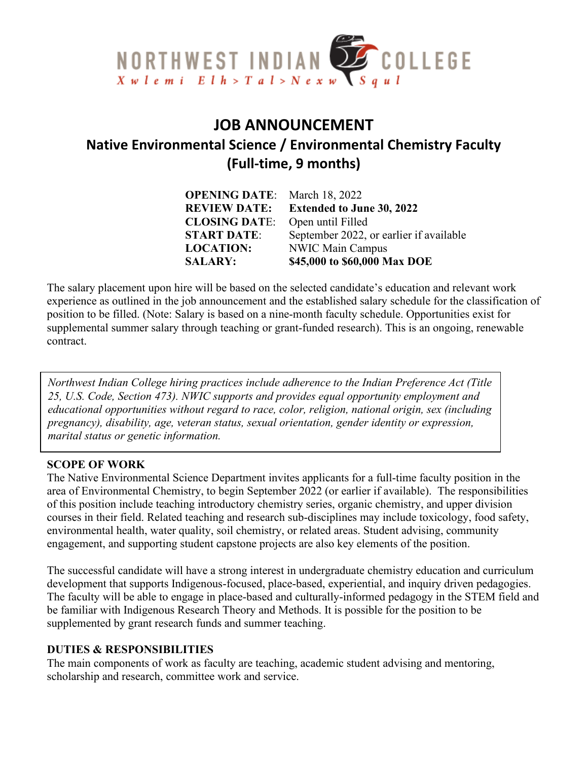

# **JOB ANNOUNCEMENT Native Environmental Science / Environmental Chemistry Faculty (Full-time, 9 months)**

| <b>OPENING DATE:</b> March 18, 2022 |                                         |
|-------------------------------------|-----------------------------------------|
| <b>REVIEW DATE:</b>                 | <b>Extended to June 30, 2022</b>        |
| <b>CLOSING DATE:</b>                | Open until Filled                       |
| <b>START DATE:</b>                  | September 2022, or earlier if available |
| <b>LOCATION:</b>                    | <b>NWIC Main Campus</b>                 |
| <b>SALARY:</b>                      | \$45,000 to \$60,000 Max DOE            |

The salary placement upon hire will be based on the selected candidate's education and relevant work experience as outlined in the job announcement and the established salary schedule for the classification of position to be filled. (Note: Salary is based on a nine-month faculty schedule. Opportunities exist for supplemental summer salary through teaching or grant-funded research). This is an ongoing, renewable contract.

*Northwest Indian College hiring practices include adherence to the Indian Preference Act (Title 25, U.S. Code, Section 473). NWIC supports and provides equal opportunity employment and educational opportunities without regard to race, color, religion, national origin, sex (including pregnancy), disability, age, veteran status, sexual orientation, gender identity or expression, marital status or genetic information.*

#### **SCOPE OF WORK**

The Native Environmental Science Department invites applicants for a full-time faculty position in the area of Environmental Chemistry, to begin September 2022 (or earlier if available). The responsibilities of this position include teaching introductory chemistry series, organic chemistry, and upper division courses in their field. Related teaching and research sub-disciplines may include toxicology, food safety, environmental health, water quality, soil chemistry, or related areas. Student advising, community engagement, and supporting student capstone projects are also key elements of the position.

The successful candidate will have a strong interest in undergraduate chemistry education and curriculum development that supports Indigenous-focused, place-based, experiential, and inquiry driven pedagogies. The faculty will be able to engage in place-based and culturally-informed pedagogy in the STEM field and be familiar with Indigenous Research Theory and Methods. It is possible for the position to be supplemented by grant research funds and summer teaching.

### **DUTIES & RESPONSIBILITIES**

The main components of work as faculty are teaching, academic student advising and mentoring, scholarship and research, committee work and service.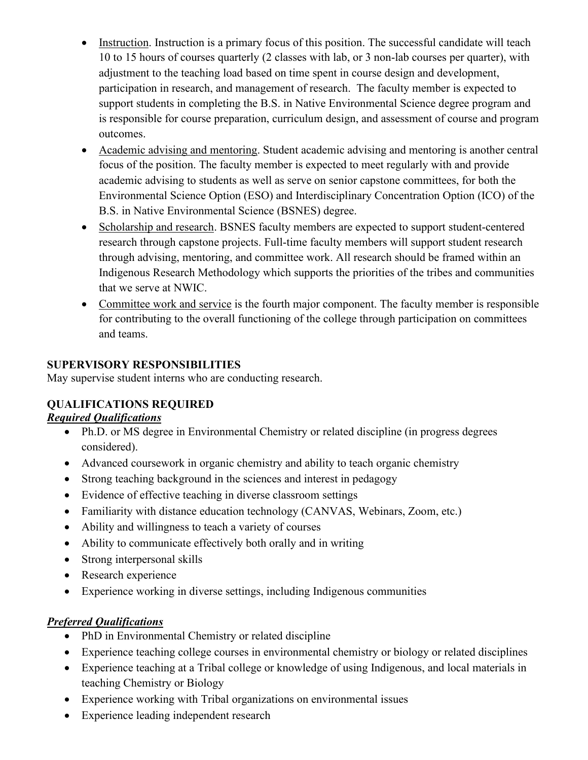- Instruction. Instruction is a primary focus of this position. The successful candidate will teach 10 to 15 hours of courses quarterly (2 classes with lab, or 3 non-lab courses per quarter), with adjustment to the teaching load based on time spent in course design and development, participation in research, and management of research. The faculty member is expected to support students in completing the B.S. in Native Environmental Science degree program and is responsible for course preparation, curriculum design, and assessment of course and program outcomes.
- Academic advising and mentoring. Student academic advising and mentoring is another central focus of the position. The faculty member is expected to meet regularly with and provide academic advising to students as well as serve on senior capstone committees, for both the Environmental Science Option (ESO) and Interdisciplinary Concentration Option (ICO) of the B.S. in Native Environmental Science (BSNES) degree.
- Scholarship and research. BSNES faculty members are expected to support student-centered research through capstone projects. Full-time faculty members will support student research through advising, mentoring, and committee work. All research should be framed within an Indigenous Research Methodology which supports the priorities of the tribes and communities that we serve at NWIC.
- Committee work and service is the fourth major component. The faculty member is responsible for contributing to the overall functioning of the college through participation on committees and teams.

### **SUPERVISORY RESPONSIBILITIES**

May supervise student interns who are conducting research.

# **QUALIFICATIONS REQUIRED**

### *Required Qualifications*

- Ph.D. or MS degree in Environmental Chemistry or related discipline (in progress degrees considered).
- Advanced coursework in organic chemistry and ability to teach organic chemistry
- Strong teaching background in the sciences and interest in pedagogy
- Evidence of effective teaching in diverse classroom settings
- Familiarity with distance education technology (CANVAS, Webinars, Zoom, etc.)
- Ability and willingness to teach a variety of courses
- Ability to communicate effectively both orally and in writing
- Strong interpersonal skills
- Research experience
- Experience working in diverse settings, including Indigenous communities

## *Preferred Qualifications*

- PhD in Environmental Chemistry or related discipline
- Experience teaching college courses in environmental chemistry or biology or related disciplines
- Experience teaching at a Tribal college or knowledge of using Indigenous, and local materials in teaching Chemistry or Biology
- Experience working with Tribal organizations on environmental issues
- Experience leading independent research